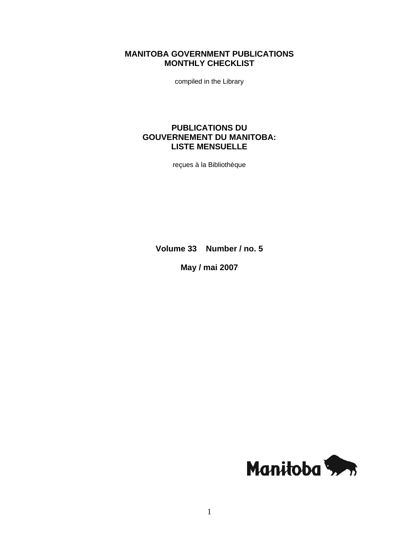# **MANITOBA GOVERNMENT PUBLICATIONS MONTHLY CHECKLIST**

compiled in the Library

# **PUBLICATIONS DU GOUVERNEMENT DU MANITOBA: LISTE MENSUELLE**

reçues à la Bibliothèque

**Volume 33 Number / no. 5** 

**May / mai 2007** 

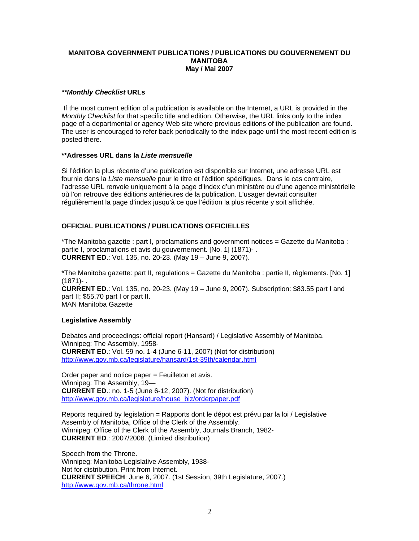# **MANITOBA GOVERNMENT PUBLICATIONS / PUBLICATIONS DU GOUVERNEMENT DU MANITOBA May / Mai 2007**

# *\*\*Monthly Checklist* **URLs**

 If the most current edition of a publication is available on the Internet, a URL is provided in the *Monthly Checklist* for that specific title and edition. Otherwise, the URL links only to the index page of a departmental or agency Web site where previous editions of the publication are found. The user is encouraged to refer back periodically to the index page until the most recent edition is posted there.

# **\*\*Adresses URL dans la** *Liste mensuelle*

Si l'édition la plus récente d'une publication est disponible sur Internet, une adresse URL est fournie dans la *Liste mensuelle* pour le titre et l'édition spécifiques. Dans le cas contraire, l'adresse URL renvoie uniquement à la page d'index d'un ministère ou d'une agence ministérielle où l'on retrouve des éditions antérieures de la publication. L'usager devrait consulter régulièrement la page d'index jusqu'à ce que l'édition la plus récente y soit affichée.

# **OFFICIAL PUBLICATIONS / PUBLICATIONS OFFICIELLES**

\*The Manitoba gazette : part I, proclamations and government notices = Gazette du Manitoba : partie I, proclamations et avis du gouvernement. [No. 1] (1871)- . **CURRENT ED**.: Vol. 135, no. 20-23. (May 19 – June 9, 2007).

\*The Manitoba gazette: part II, regulations = Gazette du Manitoba : partie II, règlements. [No. 1]  $(1871) -$ **CURRENT ED**.: Vol. 135, no. 20-23. (May 19 – June 9, 2007). Subscription: \$83.55 part I and part II; \$55.70 part I or part II.

MAN Manitoba Gazette

# **Legislative Assembly**

Debates and proceedings: official report (Hansard) / Legislative Assembly of Manitoba. Winnipeg: The Assembly, 1958- **CURRENT ED**.: Vol. 59 no. 1-4 (June 6-11, 2007) (Not for distribution) [http://www.gov.mb.ca/legislature/hansard/1st-39th/calendar.html](https://www.gov.mb.ca/legislature/hansard/1st-39th/calendar.html)

Order paper and notice paper = Feuilleton et avis. Winnipeg: The Assembly, 19— **CURRENT ED**.: no. 1-5 (June 6-12, 2007). (Not for distribution) [http://www.gov.mb.ca/legislature/house\\_biz/orderpaper.pdf](https://www.gov.mb.ca/legislature/house_biz/orderpaper.pdf)

Reports required by legislation = Rapports dont le dépot est prévu par la loi / Legislative Assembly of Manitoba, Office of the Clerk of the Assembly. Winnipeg: Office of the Clerk of the Assembly, Journals Branch, 1982- **CURRENT ED**.: 2007/2008. (Limited distribution)

Speech from the Throne. Winnipeg: Manitoba Legislative Assembly, 1938- Not for distribution. Print from Internet. **CURRENT SPEECH**: June 6, 2007. (1st Session, 39th Legislature, 2007.) [http://www.gov.mb.ca/throne.html](https://www.gov.mb.ca/throne.html)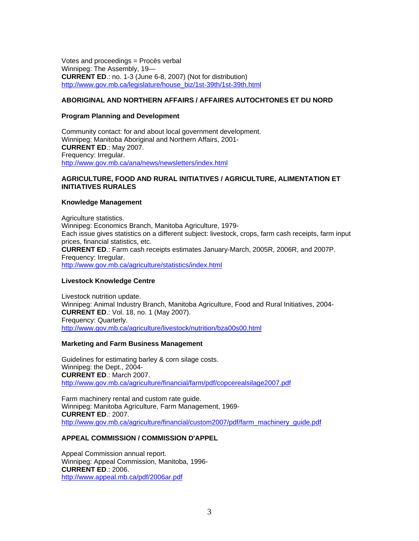Votes and proceedings = Procès verbal Winnipeg: The Assembly, 19— **CURRENT ED**.: no. 1-3 (June 6-8, 2007) (Not for distribution) [http://www.gov.mb.ca/legislature/house\\_biz/1st-39th/1st-39th.html](https://www.gov.mb.ca/legislature/house_biz/1st-39th/1st-39th.html)

# **ABORIGINAL AND NORTHERN AFFAIRS / AFFAIRES AUTOCHTONES ET DU NORD**

# **Program Planning and Development**

Community contact: for and about local government development. Winnipeg: Manitoba Aboriginal and Northern Affairs, 2001- **CURRENT ED**.: May 2007. Frequency: Irregular. [http://www.gov.mb.ca/ana/news/newsletters/index.html](https://www.gov.mb.ca/ana/news/newsletters/index.html)

# **AGRICULTURE, FOOD AND RURAL INITIATIVES / AGRICULTURE, ALIMENTATION ET INITIATIVES RURALES**

#### **Knowledge Management**

Agriculture statistics. Winnipeg: Economics Branch, Manitoba Agriculture, 1979- Each issue gives statistics on a different subject: livestock, crops, farm cash receipts, farm input prices, financial statistics, etc. **CURRENT ED**.: Farm cash receipts estimates January-March, 2005R, 2006R, and 2007P. Frequency: Irregular. [http://www.gov.mb.ca/agriculture/statistics/index.html](https://www.gov.mb.ca/agriculture/statistics/index.html)

# **Livestock Knowledge Centre**

Livestock nutrition update. Winnipeg: Animal Industry Branch, Manitoba Agriculture, Food and Rural Initiatives, 2004- **CURRENT ED**.: Vol. 18, no. 1 (May 2007). Frequency: Quarterly. [http://www.gov.mb.ca/agriculture/livestock/nutrition/bza00s00.html](https://www.gov.mb.ca/agriculture/livestock/nutrition/bza00s00.html)

# **Marketing and Farm Business Management**

Guidelines for estimating barley & corn silage costs. Winnipeg: the Dept., 2004- **CURRENT ED**.: March 2007. [http://www.gov.mb.ca/agriculture/financial/farm/pdf/copcerealsilage2007.pdf](https://www.gov.mb.ca/agriculture/financial/farm/pdf/copcerealsilage2007.pdf)

Farm machinery rental and custom rate guide. Winnipeg: Manitoba Agriculture, Farm Management, 1969- **CURRENT ED**.: 2007. [http://www.gov.mb.ca/agriculture/financial/custom2007/pdf/farm\\_machinery\\_guide.pdf](https://www.gov.mb.ca/agriculture/financial/custom2007/pdf/farm_machinery_guide.pdf)

# **APPEAL COMMISSION / COMMISSION D'APPEL**

Appeal Commission annual report. Winnipeg: Appeal Commission, Manitoba, 1996- **CURRENT ED**.: 2006. <http://www.appeal.mb.ca/pdf/2006ar.pdf>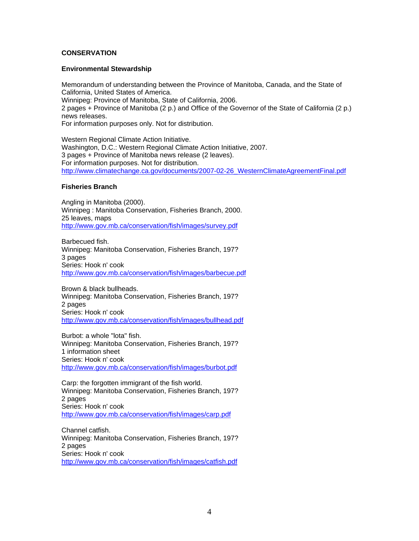# **CONSERVATION**

### **Environmental Stewardship**

Memorandum of understanding between the Province of Manitoba, Canada, and the State of California, United States of America. Winnipeg: Province of Manitoba, State of California, 2006. 2 pages + Province of Manitoba (2 p.) and Office of the Governor of the State of California (2 p.) news releases. For information purposes only. Not for distribution.

Western Regional Climate Action Initiative. Washington, D.C.: Western Regional Climate Action Initiative, 2007. 3 pages + Province of Manitoba news release (2 leaves). For information purposes. Not for distribution. [http://www.climatechange.ca.gov/documents/2007-02-26\\_WesternClimateAgreementFinal.pdf](http://www.climatechange.ca.gov/documents/2007-02-26_WesternClimateAgreementFinal.pdf)

# **Fisheries Branch**

Angling in Manitoba (2000). Winnipeg : Manitoba Conservation, Fisheries Branch, 2000. 25 leaves, maps [http://www.gov.mb.ca/conservation/fish/images/survey.pdf](https://www.gov.mb.ca/conservation/fish/images/survey.pdf)

Barbecued fish. Winnipeg: Manitoba Conservation, Fisheries Branch, 197? 3 pages Series: Hook n' cook [http://www.gov.mb.ca/conservation/fish/images/barbecue.pdf](https://www.gov.mb.ca/conservation/fish/images/barbecue.pdf)

Brown & black bullheads. Winnipeg: Manitoba Conservation, Fisheries Branch, 197? 2 pages Series: Hook n' cook [http://www.gov.mb.ca/conservation/fish/images/bullhead.pdf](https://www.gov.mb.ca/conservation/fish/images/bullhead.pdf)

Burbot: a whole "lota" fish. Winnipeg: Manitoba Conservation, Fisheries Branch, 197? 1 information sheet Series: Hook n' cook [http://www.gov.mb.ca/conservation/fish/images/burbot.pdf](https://www.gov.mb.ca/conservation/fish/images/burbot.pdf)

Carp: the forgotten immigrant of the fish world. Winnipeg: Manitoba Conservation, Fisheries Branch, 197? 2 pages Series: Hook n' cook [http://www.gov.mb.ca/conservation/fish/images/carp.pdf](https://www.gov.mb.ca/conservation/fish/images/carp.pdf)

Channel catfish. Winnipeg: Manitoba Conservation, Fisheries Branch, 197? 2 pages Series: Hook n' cook [http://www.gov.mb.ca/conservation/fish/images/catfish.pdf](https://www.gov.mb.ca/conservation/fish/images/catfish.pdf)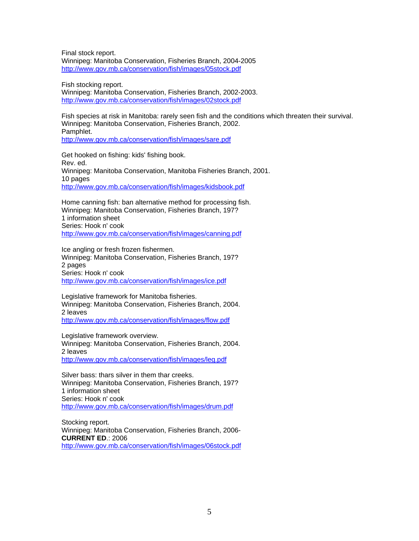Final stock report. Winnipeg: Manitoba Conservation, Fisheries Branch, 2004-2005 [http://www.gov.mb.ca/conservation/fish/images/05stock.pdf](https://www.gov.mb.ca/conservation/fish/images/05stock.pdf)

Fish stocking report. Winnipeg: Manitoba Conservation, Fisheries Branch, 2002-2003. [http://www.gov.mb.ca/conservation/fish/images/02stock.pdf](https://www.gov.mb.ca/conservation/fish/images/02stock.pdf)

Fish species at risk in Manitoba: rarely seen fish and the conditions which threaten their survival. Winnipeg: Manitoba Conservation, Fisheries Branch, 2002. Pamphlet. [http://www.gov.mb.ca/conservation/fish/images/sare.pdf](https://www.gov.mb.ca/conservation/fish/images/sare.pdf)

Get hooked on fishing: kids' fishing book. Rev. ed. Winnipeg: Manitoba Conservation, Manitoba Fisheries Branch, 2001. 10 pages [http://www.gov.mb.ca/conservation/fish/images/kidsbook.pdf](https://www.gov.mb.ca/conservation/fish/images/kidsbook.pdf)

Home canning fish: ban alternative method for processing fish. Winnipeg: Manitoba Conservation, Fisheries Branch, 197? 1 information sheet Series: Hook n' cook [http://www.gov.mb.ca/conservation/fish/images/canning.pdf](https://www.gov.mb.ca/conservation/fish/images/canning.pdf)

Ice angling or fresh frozen fishermen. Winnipeg: Manitoba Conservation, Fisheries Branch, 197? 2 pages Series: Hook n' cook [http://www.gov.mb.ca/conservation/fish/images/ice.pdf](https://www.gov.mb.ca/conservation/fish/images/ice.pdf)

Legislative framework for Manitoba fisheries. Winnipeg: Manitoba Conservation, Fisheries Branch, 2004. 2 leaves [http://www.gov.mb.ca/conservation/fish/images/flow.pdf](https://www.gov.mb.ca/conservation/fish/images/flow.pdf)

Legislative framework overview. Winnipeg: Manitoba Conservation, Fisheries Branch, 2004. 2 leaves [http://www.gov.mb.ca/conservation/fish/images/leg.pdf](https://www.gov.mb.ca/conservation/fish/images/leg.pdf)

Silver bass: thars silver in them thar creeks. Winnipeg: Manitoba Conservation, Fisheries Branch, 197? 1 information sheet Series: Hook n' cook [http://www.gov.mb.ca/conservation/fish/images/drum.pdf](https://www.gov.mb.ca/conservation/fish/images/drum.pdf)

Stocking report. Winnipeg: Manitoba Conservation, Fisheries Branch, 2006- **CURRENT ED**.: 2006 [http://www.gov.mb.ca/conservation/fish/images/06stock.pdf](https://www.gov.mb.ca/conservation/fish/images/06stock.pdf)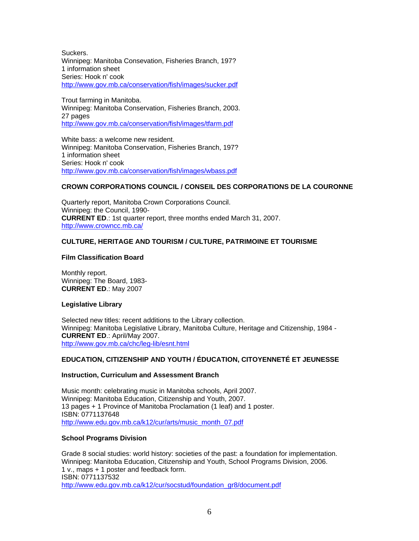**Suckers** Winnipeg: Manitoba Consevation, Fisheries Branch, 197? 1 information sheet Series: Hook n' cook [http://www.gov.mb.ca/conservation/fish/images/sucker.pdf](https://www.gov.mb.ca/conservation/fish/images/sucker.pdf)

Trout farming in Manitoba. Winnipeg: Manitoba Conservation, Fisheries Branch, 2003. 27 pages [http://www.gov.mb.ca/conservation/fish/images/tfarm.pdf](https://www.gov.mb.ca/conservation/fish/images/tfarm.pdf)

White bass: a welcome new resident. Winnipeg: Manitoba Conservation, Fisheries Branch, 197? 1 information sheet Series: Hook n' cook [http://www.gov.mb.ca/conservation/fish/images/wbass.pdf](https://www.gov.mb.ca/conservation/fish/images/wbass.pdf)

# **CROWN CORPORATIONS COUNCIL / CONSEIL DES CORPORATIONS DE LA COURONNE**

Quarterly report, Manitoba Crown Corporations Council. Winnipeg: the Council, 1990- **CURRENT ED**.: 1st quarter report, three months ended March 31, 2007. <http://www.crowncc.mb.ca/>

# **CULTURE, HERITAGE AND TOURISM / CULTURE, PATRIMOINE ET TOURISME**

# **Film Classification Board**

Monthly report. Winnipeg: The Board, 1983- **CURRENT ED**.: May 2007

# **Legislative Library**

Selected new titles: recent additions to the Library collection. Winnipeg: Manitoba Legislative Library, Manitoba Culture, Heritage and Citizenship, 1984 - **CURRENT ED**.: April/May 2007. [http://www.gov.mb.ca/chc/leg-lib/esnt.html](https://www.gov.mb.ca/chc/leg-lib/esnt.html)

# **EDUCATION, CITIZENSHIP AND YOUTH / ÉDUCATION, CITOYENNETÉ ET JEUNESSE**

# **Instruction, Curriculum and Assessment Branch**

Music month: celebrating music in Manitoba schools, April 2007. Winnipeg: Manitoba Education, Citizenship and Youth, 2007. 13 pages + 1 Province of Manitoba Proclamation (1 leaf) and 1 poster. ISBN: 0771137648 [http://www.edu.gov.mb.ca/k12/cur/arts/music\\_month\\_07.pdf](http://www.edu.gov.mb.ca/k12/cur/arts/music_month_07.pdf)

# **School Programs Division**

Grade 8 social studies: world history: societies of the past: a foundation for implementation. Winnipeg: Manitoba Education, Citizenship and Youth, School Programs Division, 2006. 1 v., maps + 1 poster and feedback form. ISBN: 0771137532 [http://www.edu.gov.mb.ca/k12/cur/socstud/foundation\\_gr8/document.pdf](http://www.edu.gov.mb.ca/k12/cur/socstud/foundation_gr8/document.pdf)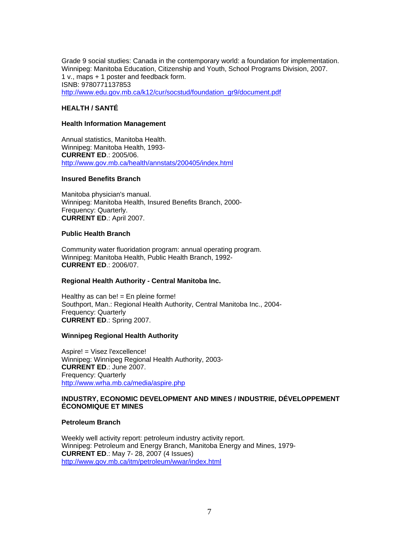Grade 9 social studies: Canada in the contemporary world: a foundation for implementation. Winnipeg: Manitoba Education, Citizenship and Youth, School Programs Division, 2007. 1 v., maps + 1 poster and feedback form. ISNB: 9780771137853 [http://www.edu.gov.mb.ca/k12/cur/socstud/foundation\\_gr9/document.pdf](http://www.edu.gov.mb.ca/k12/cur/socstud/foundation_gr9/document.pdf)

# **HEALTH / SANTÉ**

#### **Health Information Management**

Annual statistics, Manitoba Health. Winnipeg: Manitoba Health, 1993- **CURRENT ED**.: 2005/06. [http://www.gov.mb.ca/health/annstats/200405/index.html](https://www.gov.mb.ca/health/annstats/200405/index.html)

#### **Insured Benefits Branch**

Manitoba physician's manual. Winnipeg: Manitoba Health, Insured Benefits Branch, 2000- Frequency: Quarterly. **CURRENT ED**.: April 2007.

### **Public Health Branch**

Community water fluoridation program: annual operating program. Winnipeg: Manitoba Health, Public Health Branch, 1992- **CURRENT ED**.: 2006/07.

# **Regional Health Authority - Central Manitoba Inc.**

Healthy as can be!  $=$  En pleine forme! Southport, Man.: Regional Health Authority, Central Manitoba Inc., 2004- Frequency: Quarterly **CURRENT ED**.: Spring 2007.

# **Winnipeg Regional Health Authority**

Aspire! = Visez l'excellence! Winnipeg: Winnipeg Regional Health Authority, 2003- **CURRENT ED**.: June 2007. Frequency: Quarterly <http://www.wrha.mb.ca/media/aspire.php>

## **INDUSTRY, ECONOMIC DEVELOPMENT AND MINES / INDUSTRIE, DÉVELOPPEMENT ÉCONOMIQUE ET MINES**

#### **Petroleum Branch**

Weekly well activity report: petroleum industry activity report. Winnipeg: Petroleum and Energy Branch, Manitoba Energy and Mines, 1979- **CURRENT ED**.: May 7- 28, 2007 (4 Issues) [http://www.gov.mb.ca/itm/petroleum/wwar/index.html](https://www.gov.mb.ca/itm/petroleum/wwar/index.html)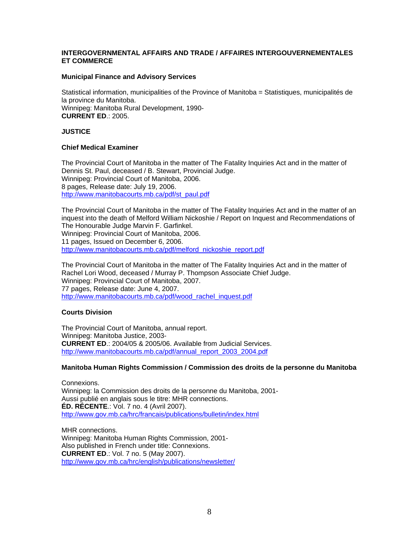# **INTERGOVERNMENTAL AFFAIRS AND TRADE / AFFAIRES INTERGOUVERNEMENTALES ET COMMERCE**

# **Municipal Finance and Advisory Services**

Statistical information, municipalities of the Province of Manitoba = Statistiques, municipalités de la province du Manitoba. Winnipeg: Manitoba Rural Development, 1990- **CURRENT ED**.: 2005.

# **JUSTICE**

# **Chief Medical Examiner**

The Provincial Court of Manitoba in the matter of The Fatality Inquiries Act and in the matter of Dennis St. Paul, deceased / B. Stewart, Provincial Judge. Winnipeg: Provincial Court of Manitoba, 2006. 8 pages, Release date: July 19, 2006. [http://www.manitobacourts.mb.ca/pdf/st\\_paul.pdf](https://www.manitobacourts.mb.ca/pdf/st_paul.pdf)

The Provincial Court of Manitoba in the matter of The Fatality Inquiries Act and in the matter of an inquest into the death of Melford William Nickoshie / Report on Inquest and Recommendations of The Honourable Judge Marvin F. Garfinkel. Winnipeg: Provincial Court of Manitoba, 2006. 11 pages, Issued on December 6, 2006. [http://www.manitobacourts.mb.ca/pdf/melford\\_nickoshie\\_report.pdf](https://www.manitobacourts.mb.ca/pdf/melford_nickoshie_report.pdf)

The Provincial Court of Manitoba in the matter of The Fatality Inquiries Act and in the matter of Rachel Lori Wood, deceased / Murray P. Thompson Associate Chief Judge. Winnipeg: Provincial Court of Manitoba, 2007. 77 pages, Release date: June 4, 2007. [http://www.manitobacourts.mb.ca/pdf/wood\\_rachel\\_inquest.pdf](https://www.manitobacourts.mb.ca/pdf/wood_rachel_inquest.pdf)

# **Courts Division**

The Provincial Court of Manitoba, annual report. Winnipeg: Manitoba Justice, 2003- **CURRENT ED**.: 2004/05 & 2005/06. Available from Judicial Services. [http://www.manitobacourts.mb.ca/pdf/annual\\_report\\_2003\\_2004.pdf](https://www.manitobacourts.mb.ca/pdf/annual_report_2003_2004.pdf)

# **Manitoba Human Rights Commission / Commission des droits de la personne du Manitoba**

Connexions. Winnipeg: la Commission des droits de la personne du Manitoba, 2001- Aussi publié en anglais sous le titre: MHR connections. **ÉD. RÉCENTE**.: Vol. 7 no. 4 (Avril 2007). [http://www.gov.mb.ca/hrc/francais/publications/bulletin/index.html](https://www.gov.mb.ca/hrc/francais/publications/bulletin/index.html)

MHR connections. Winnipeg: Manitoba Human Rights Commission, 2001- Also published in French under title: Connexions. **CURRENT ED**.: Vol. 7 no. 5 (May 2007). [http://www.gov.mb.ca/hrc/english/publications/newsletter/](https://www.gov.mb.ca/hrc/english/publications/newsletter/)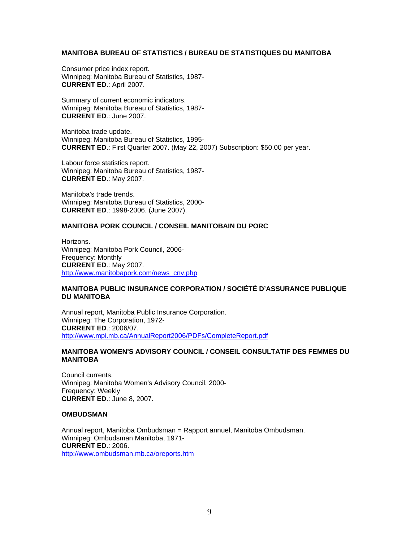# **MANITOBA BUREAU OF STATISTICS / BUREAU DE STATISTIQUES DU MANITOBA**

Consumer price index report. Winnipeg: Manitoba Bureau of Statistics, 1987- **CURRENT ED**.: April 2007.

Summary of current economic indicators. Winnipeg: Manitoba Bureau of Statistics, 1987- **CURRENT ED**.: June 2007.

Manitoba trade update. Winnipeg: Manitoba Bureau of Statistics, 1995- **CURRENT ED**.: First Quarter 2007. (May 22, 2007) Subscription: \$50.00 per year.

Labour force statistics report. Winnipeg: Manitoba Bureau of Statistics, 1987- **CURRENT ED**.: May 2007.

Manitoba's trade trends. Winnipeg: Manitoba Bureau of Statistics, 2000- **CURRENT ED**.: 1998-2006. (June 2007).

# **MANITOBA PORK COUNCIL / CONSEIL MANITOBAIN DU PORC**

Horizons. Winnipeg: Manitoba Pork Council, 2006- Frequency: Monthly **CURRENT ED**.: May 2007. [http://www.manitobapork.com/news\\_cnv.php](http://www.manitobapork.com/news_cnv.php)

# **MANITOBA PUBLIC INSURANCE CORPORATION / SOCIÉTÉ D'ASSURANCE PUBLIQUE DU MANITOBA**

Annual report, Manitoba Public Insurance Corporation. Winnipeg: The Corporation, 1972- **CURRENT ED**.: 2006/07. <http://www.mpi.mb.ca/AnnualReport2006/PDFs/CompleteReport.pdf>

# **MANITOBA WOMEN'S ADVISORY COUNCIL / CONSEIL CONSULTATIF DES FEMMES DU MANITOBA**

Council currents. Winnipeg: Manitoba Women's Advisory Council, 2000- Frequency: Weekly **CURRENT ED**.: June 8, 2007.

#### **OMBUDSMAN**

Annual report, Manitoba Ombudsman = Rapport annuel, Manitoba Ombudsman. Winnipeg: Ombudsman Manitoba, 1971- **CURRENT ED**.: 2006. <http://www.ombudsman.mb.ca/oreports.htm>